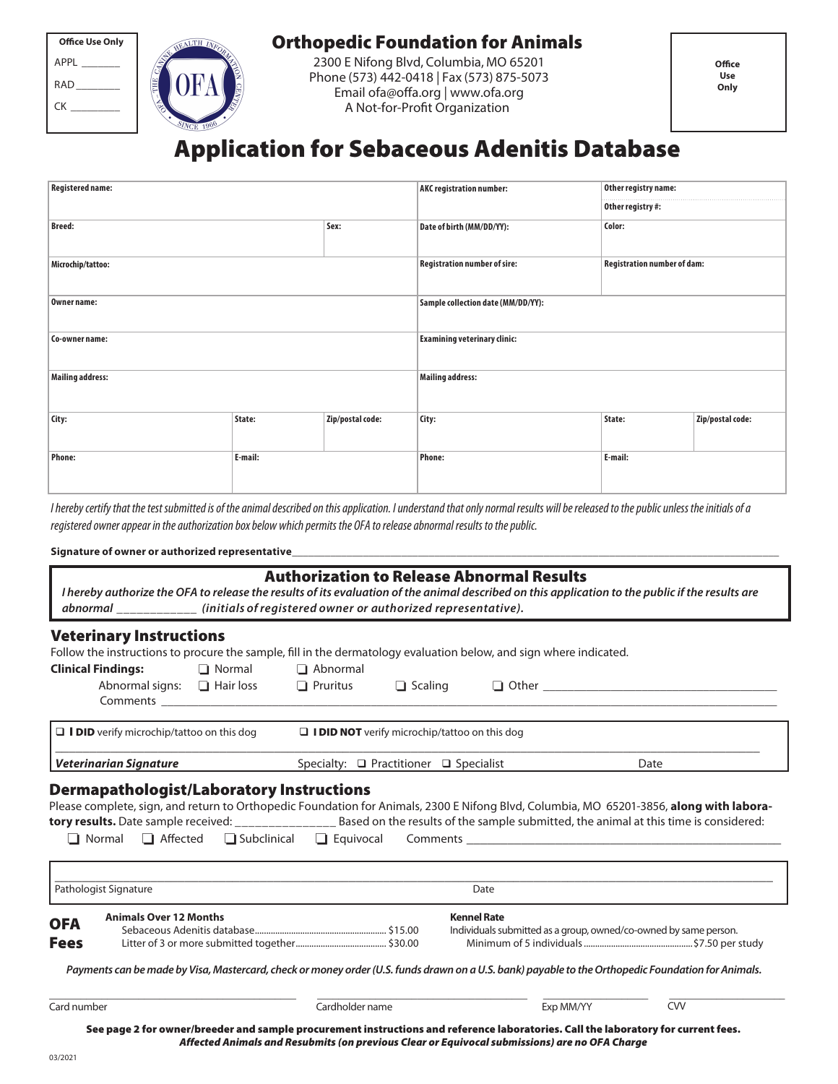| <b>Office Use Only</b> |  |  |  |  |
|------------------------|--|--|--|--|
| APPL                   |  |  |  |  |
| RAD                    |  |  |  |  |
| СK                     |  |  |  |  |
|                        |  |  |  |  |



### Orthopedic Foundation for Animals

2300 E Nifong Blvd, Columbia, MO 65201 Phone (573) 442-0418 | Fax (573) 875-5073 Email ofa@offa.org | www.ofa.org A Not-for-Profit Organization

# Application for Sebaceous Adenitis Database

| <b>Registered name:</b> |         |                  | <b>AKC</b> registration number:     | Other registry name:               |                  |  |  |
|-------------------------|---------|------------------|-------------------------------------|------------------------------------|------------------|--|--|
|                         |         |                  |                                     | Other registry #:                  |                  |  |  |
| <b>Breed:</b>           |         | Sex:             | Date of birth (MM/DD/YY):           | Color:                             |                  |  |  |
| Microchip/tattoo:       |         |                  | <b>Registration number of sire:</b> | <b>Registration number of dam:</b> |                  |  |  |
| Owner name:             |         |                  | Sample collection date (MM/DD/YY):  |                                    |                  |  |  |
| Co-owner name:          |         |                  | <b>Examining veterinary clinic:</b> |                                    |                  |  |  |
| <b>Mailing address:</b> |         |                  | <b>Mailing address:</b>             |                                    |                  |  |  |
| City:                   | State:  | Zip/postal code: | City:                               | State:                             | Zip/postal code: |  |  |
| <b>Phone:</b>           | E-mail: |                  | <b>Phone:</b>                       | E-mail:                            |                  |  |  |

I hereby certify that the test submitted is of the animal described on this application. I understand that only normal results will be released to the public unless the initials of a registered owner appear in the authorization box below which permits the OFA to release abnormal results to the public.

#### Signature of owner or authorized representative

| <b>Authorization to Release Abnormal Results</b><br>I hereby authorize the OFA to release the results of its evaluation of the animal described on this application to the public if the results are<br>abnormal ____________ (initials of registered owner or authorized representative). |          |                 |                                                             |                    |      |  |                                                                                                                                                                                                                                                                                               |  |  |
|--------------------------------------------------------------------------------------------------------------------------------------------------------------------------------------------------------------------------------------------------------------------------------------------|----------|-----------------|-------------------------------------------------------------|--------------------|------|--|-----------------------------------------------------------------------------------------------------------------------------------------------------------------------------------------------------------------------------------------------------------------------------------------------|--|--|
| <b>Veterinary Instructions</b>                                                                                                                                                                                                                                                             |          |                 |                                                             |                    |      |  |                                                                                                                                                                                                                                                                                               |  |  |
| Follow the instructions to procure the sample, fill in the dermatology evaluation below, and sign where indicated.                                                                                                                                                                         |          |                 |                                                             |                    |      |  |                                                                                                                                                                                                                                                                                               |  |  |
| <b>Clinical Findings:</b>                                                                                                                                                                                                                                                                  | □ Normal | $\Box$ Abnormal |                                                             |                    |      |  |                                                                                                                                                                                                                                                                                               |  |  |
|                                                                                                                                                                                                                                                                                            |          |                 |                                                             |                    |      |  |                                                                                                                                                                                                                                                                                               |  |  |
| $\Box$ I DID verify microchip/tattoo on this dog                                                                                                                                                                                                                                           |          |                 | $\Box$ <b>I DID NOT</b> verify microchip/tattoo on this dog |                    |      |  |                                                                                                                                                                                                                                                                                               |  |  |
| <b>Veterinarian Signature</b>                                                                                                                                                                                                                                                              |          |                 | Specialty: $\Box$ Practitioner $\Box$ Specialist<br>Date    |                    |      |  |                                                                                                                                                                                                                                                                                               |  |  |
| <b>Dermapathologist/Laboratory Instructions</b>                                                                                                                                                                                                                                            |          |                 |                                                             |                    |      |  | Please complete, sign, and return to Orthopedic Foundation for Animals, 2300 E Nifong Blvd, Columbia, MO 65201-3856, along with labora-<br>tory results. Date sample received: _________________________ Based on the results of the sample submitted, the animal at this time is considered: |  |  |
| Pathologist Signature                                                                                                                                                                                                                                                                      |          |                 |                                                             |                    | Date |  |                                                                                                                                                                                                                                                                                               |  |  |
| <b>Animals Over 12 Months</b><br><b>OFA</b><br><b>Fees</b>                                                                                                                                                                                                                                 |          |                 |                                                             | <b>Kennel Rate</b> |      |  | Individuals submitted as a group, owned/co-owned by same person.<br>Payments can be made by Visa, Mastercard, check or money order (U.S. funds drawn on a U.S. bank) payable to the Orthopedic Foundation for Animals.                                                                        |  |  |

Card number

Cardholder name

Exp MM/YY

CVV

See page 2 for owner/breeder and sample procurement instructions and reference laboratories. Call the laboratory for current fees. Affected Animals and Resubmits (on previous Clear or Equivocal submissions) are no OFA Charge